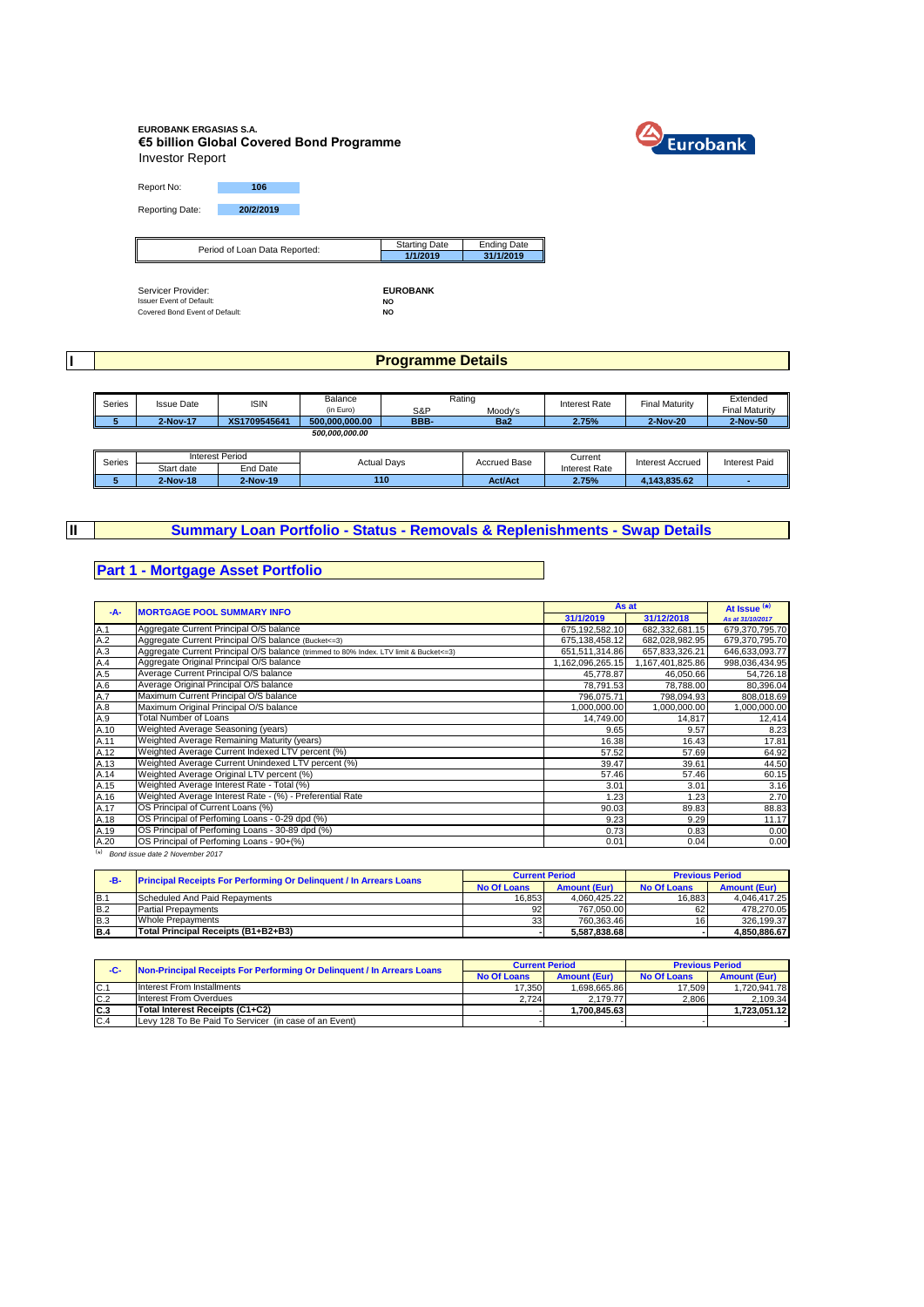# **EUROBANK ERGASIAS S.A. €5 billion Global Covered Bond Programme** Investor Report



Report No: **106** Reporting Date: **20/2/2019**

| Period of Loan Data Reported: | <b>Starting Date</b> | <b>Ending Date</b> |
|-------------------------------|----------------------|--------------------|
|                               | 1/1/2019             | 31/1/2019          |
|                               |                      |                    |

Servicer Provider: **Interpretation of Default Provider: FUROBANK**<br>Issuer Event of Default: **NO**<br>Covered Bond Event of Default: **NO** 

 $\llbracket$ 

**I**

**II**

### **Programme Details**

| Series | <b>Issue Date</b> | <b>ISIN</b>  | Balance        |                | Rating          | Interest Rate | <b>Final Maturity</b> | Extended |
|--------|-------------------|--------------|----------------|----------------|-----------------|---------------|-----------------------|----------|
|        |                   |              | (in Euro)      | S&P<br>Moodv's |                 |               | <b>Final Maturity</b> |          |
|        | 2-Nov-17          | XS1709545641 | 500.000.000.00 | BBB-           | Ba <sub>2</sub> | 2.75%         | 2-Nov-20              | 2-Nov-50 |
|        |                   |              | 500.000.000.00 |                |                 |               |                       |          |

| Series |            | Interest Period | <b>Actual Davs</b> | Accrued Base   | Current      | Interest Accrued | <b>Interest Paid</b> |
|--------|------------|-----------------|--------------------|----------------|--------------|------------------|----------------------|
|        | Start date | <b>End Date</b> |                    |                | nterest Rate |                  |                      |
|        | 2-Nov-18   | 2-Nov-19        | 110                | <b>Act/Act</b> | 2.75%        | 1.143.835.62     |                      |

### **Summary Loan Portfolio - Status - Removals & Replenishments - Swap Details**

### **Part 1 - Mortgage Asset Portfolio**

| $-A-$ | <b>MORTGAGE POOL SUMMARY INFO</b>                                                       |                  | As at            | At Issue <sup>(*)</sup> |
|-------|-----------------------------------------------------------------------------------------|------------------|------------------|-------------------------|
|       |                                                                                         | 31/1/2019        | 31/12/2018       | As at 31/10/2017        |
| A.1   | Aggregate Current Principal O/S balance                                                 | 675,192,582.10   | 682,332,681.15   | 679,370,795.70          |
| A.2   | Aggregate Current Principal O/S balance (Bucket <= 3)                                   | 675,138,458.12   | 682,028,982.95   | 679,370,795.70          |
| A.3   | Aggregate Current Principal O/S balance (trimmed to 80% Index. LTV limit & Bucket <= 3) | 651,511,314.86   | 657,833,326.21   | 646,633,093.77          |
| A.4   | Aggregate Original Principal O/S balance                                                | 1,162,096,265.15 | 1,167,401,825.86 | 998,036,434.95          |
| A.5   | Average Current Principal O/S balance                                                   | 45,778.87        | 46,050.66        | 54,726.18               |
| A.6   | Average Original Principal O/S balance                                                  | 78,791.53        | 78,788.00        | 80,396.04               |
| A.7   | Maximum Current Principal O/S balance                                                   | 796,075.71       | 798,094.93       | 808,018.69              |
| A.8   | Maximum Original Principal O/S balance                                                  | 00.000,000,1     | 1,000,000.00     | 1,000,000.00            |
| A.9   | <b>Total Number of Loans</b>                                                            | 14,749.00        | 14,817           | 12,414                  |
| A.10  | Weighted Average Seasoning (years)                                                      | 9.65             | 9.57             | 8.23                    |
| A.11  | Weighted Average Remaining Maturity (years)                                             | 16.38            | 16.43            | 17.81                   |
| A.12  | Weighted Average Current Indexed LTV percent (%)                                        | 57.52            | 57.69            | 64.92                   |
| A.13  | Weighted Average Current Unindexed LTV percent (%)                                      | 39.47            | 39.61            | 44.50                   |
| A.14  | Weighted Average Original LTV percent (%)                                               | 57.46            | 57.46            | 60.15                   |
| A.15  | Weighted Average Interest Rate - Total (%)                                              | 3.01             | 3.01             | 3.16                    |
| A.16  | Weighted Average Interest Rate - (%) - Preferential Rate                                | 1.23             | 1.23             | 2.70                    |
| A.17  | OS Principal of Current Loans (%)                                                       | 90.03            | 89.83            | 88.83                   |
| A.18  | OS Principal of Perfoming Loans - 0-29 dpd (%)                                          | 9.23             | 9.29             | 11.17                   |
| A.19  | OS Principal of Perfoming Loans - 30-89 dpd (%)                                         | 0.73             | 0.83             | 0.00                    |
| A.20  | OS Principal of Perfoming Loans - 90+(%)                                                | 0.01             | 0.04             | 0.00                    |

( \* ) *Bond issue date 2 November 2017*

|                | <b>Principal Receipts For Performing Or Delinguent / In Arrears Loans</b><br>-в. |             | <b>Current Period</b> | <b>Previous Period</b> |                     |
|----------------|----------------------------------------------------------------------------------|-------------|-----------------------|------------------------|---------------------|
|                |                                                                                  | No Of Loans | <b>Amount (Eur)</b>   | <b>No Of Loans</b>     | <b>Amount (Eur)</b> |
| IB.            | Scheduled And Paid Repayments                                                    | 16.853      | 4.060.425.22          | 16.883                 | 4.046.417.25        |
| B.2            | <b>Partial Prepayments</b>                                                       | 92          | 767.050.00            | 621                    | 478.270.05          |
| B <sub>3</sub> | Whole Prepayments                                                                | 33          | 760.363.46            | 16                     | 326.199.37          |
| <b>B.4</b>     | Total Principal Receipts (B1+B2+B3)                                              |             | 5.587.838.68          |                        | 4.850.886.67        |

| -C- | Non-Principal Receipts For Performing Or Delinquent / In Arrears Loans |        | <b>Current Period</b> | <b>Previous Period</b> |                     |
|-----|------------------------------------------------------------------------|--------|-----------------------|------------------------|---------------------|
|     |                                                                        |        | <b>Amount (Eur)</b>   | <b>No Of Loans</b>     | <b>Amount (Eur)</b> |
| C.1 | Interest From Installments                                             | 17.350 | 1.698.665.86          | 17.509                 | 1.720.941.78        |
| C.2 | Interest From Overdues                                                 | 2.724  | 2.179.77              | 2.806                  | 2.109.34            |
| C.3 | Total Interest Receipts (C1+C2)                                        |        | 1.700.845.63          |                        | 1.723.051.12        |
| C.4 | Levy 128 To Be Paid To Servicer (in case of an Event)                  |        |                       |                        |                     |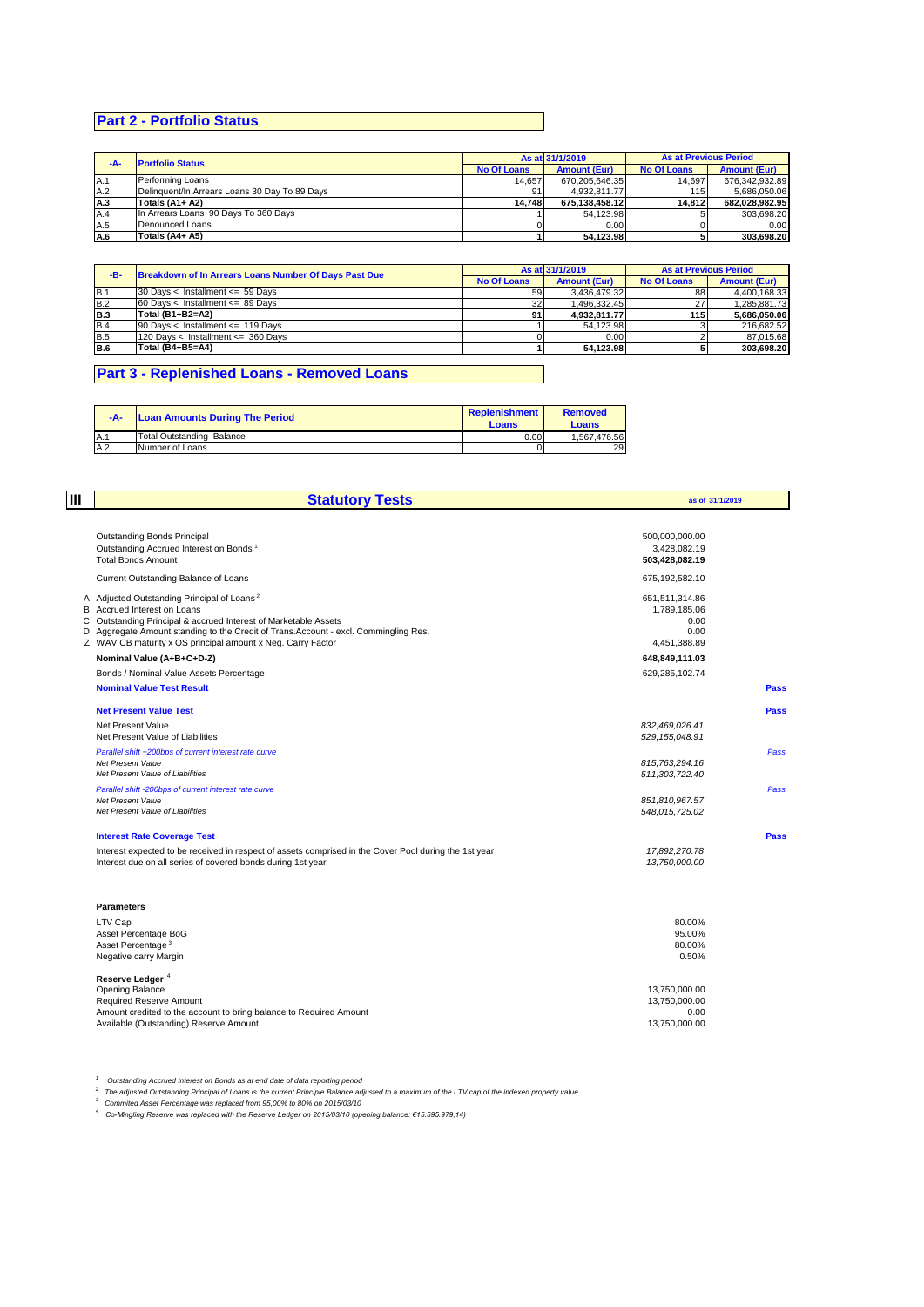# **Part 2 - Portfolio Status**

| $-A-$ | <b>Portfolio Status</b>                       | As at 31/1/2019    |                     | <b>As at Previous Period</b> |                     |
|-------|-----------------------------------------------|--------------------|---------------------|------------------------------|---------------------|
|       |                                               | <b>No Of Loans</b> | <b>Amount (Eur)</b> | <b>No Of Loans</b>           | <b>Amount (Eur)</b> |
| A.1   | Performing Loans                              | 14.657             | 670.205.646.35      | 14,697                       | 676.342.932.89      |
| A.2   | Delinquent/In Arrears Loans 30 Day To 89 Days | 91                 | 4.932.811.77        | 115                          | 5.686.050.06        |
| A.3   | Totals (A1+ A2)                               | 14.748             | 675.138.458.12      | 14.812                       | 682.028.982.95      |
| A.4   | In Arrears Loans 90 Days To 360 Days          |                    | 54.123.98           |                              | 303.698.20          |
| A.5   | Denounced Loans                               |                    | 0.00                |                              | 0.00                |
| A.6   | Totals (A4+ A5)                               |                    | 54.123.98           |                              | 303.698.20          |

|            | <b>Breakdown of In Arrears Loans Number Of Days Past Due</b><br>-B- |                    | As at 31/1/2019     |                    | <b>As at Previous Period</b> |  |
|------------|---------------------------------------------------------------------|--------------------|---------------------|--------------------|------------------------------|--|
|            |                                                                     | <b>No Of Loans</b> | <b>Amount (Eur)</b> | <b>No Of Loans</b> | <b>Amount (Eur)</b>          |  |
| <b>B.1</b> | 30 Days $\lt$ Installment $\lt$ = 59 Days                           | 59 l               | 3.436.479.32        | 88                 | 4.400.168.33                 |  |
| <b>B.2</b> | $60$ Davs < Installment <= 89 Davs                                  | 32 <sub>1</sub>    | 1.496.332.45        | 27                 | 1.285.881.73                 |  |
| B.3        | Total (B1+B2=A2)                                                    | 91 <sub>1</sub>    | 4.932.811.77        | 115                | 5.686.050.06                 |  |
| B.4        | 90 Days < Installment <= 119 Days                                   |                    | 54.123.98           |                    | 216.682.52                   |  |
| <b>B.5</b> | 120 Days < Installment <= 360 Days                                  |                    | 0.00                |                    | 87.015.68                    |  |
| <b>B.6</b> | Total (B4+B5=A4)                                                    |                    | 54.123.98           |                    | 303.698.20                   |  |

# **Part 3 - Replenished Loans - Removed Loans**

| $-A-$      | <b>Loan Amounts During The Period</b> | <b>Replenishment</b><br>Loans | <b>Removed</b><br>Loans |
|------------|---------------------------------------|-------------------------------|-------------------------|
| <b>A.1</b> | Total Outstanding Balance             | 0.00                          | 1.567.476.56            |
| A.2        | Number of Loans                       |                               | 29                      |

| Ш | <b>Statutory Tests</b>                                                                                                                                | as of 31/1/2019       |      |
|---|-------------------------------------------------------------------------------------------------------------------------------------------------------|-----------------------|------|
|   |                                                                                                                                                       |                       |      |
|   | <b>Outstanding Bonds Principal</b>                                                                                                                    | 500,000,000.00        |      |
|   | Outstanding Accrued Interest on Bonds <sup>1</sup>                                                                                                    | 3,428,082.19          |      |
|   | <b>Total Bonds Amount</b>                                                                                                                             | 503,428,082.19        |      |
|   | Current Outstanding Balance of Loans                                                                                                                  | 675.192.582.10        |      |
|   | A. Adjusted Outstanding Principal of Loans <sup>2</sup>                                                                                               | 651,511,314.86        |      |
|   | B. Accrued Interest on Loans                                                                                                                          | 1,789,185.06          |      |
|   | C. Outstanding Principal & accrued Interest of Marketable Assets                                                                                      | 0.00<br>0.00          |      |
|   | D. Aggregate Amount standing to the Credit of Trans. Account - excl. Commingling Res.<br>Z. WAV CB maturity x OS principal amount x Neg. Carry Factor | 4,451,388.89          |      |
|   | Nominal Value (A+B+C+D-Z)                                                                                                                             | 648,849,111.03        |      |
|   | Bonds / Nominal Value Assets Percentage                                                                                                               | 629,285,102.74        |      |
|   | <b>Nominal Value Test Result</b>                                                                                                                      |                       | Pass |
|   | <b>Net Present Value Test</b>                                                                                                                         |                       | Pass |
|   | Net Present Value                                                                                                                                     | 832,469,026.41        |      |
|   | Net Present Value of Liabilities                                                                                                                      | 529, 155, 048.91      |      |
|   | Parallel shift +200bps of current interest rate curve                                                                                                 |                       | Pass |
|   | <b>Net Present Value</b>                                                                                                                              | 815,763,294.16        |      |
|   | Net Present Value of Liabilities                                                                                                                      | 511,303,722.40        |      |
|   | Parallel shift -200bps of current interest rate curve                                                                                                 |                       | Pass |
|   | Net Present Value                                                                                                                                     | 851,810,967.57        |      |
|   | Net Present Value of Liabilities                                                                                                                      | 548,015,725.02        |      |
|   | <b>Interest Rate Coverage Test</b>                                                                                                                    |                       | Pass |
|   | Interest expected to be received in respect of assets comprised in the Cover Pool during the 1st year                                                 | 17,892,270.78         |      |
|   | Interest due on all series of covered bonds during 1st year                                                                                           | 13,750,000.00         |      |
|   | <b>Parameters</b>                                                                                                                                     |                       |      |
|   | LTV Cap                                                                                                                                               | 80.00%                |      |
|   | Asset Percentage BoG                                                                                                                                  | 95.00%                |      |
|   | Asset Percentage <sup>3</sup>                                                                                                                         | 80.00%                |      |
|   | Negative carry Margin                                                                                                                                 | 0.50%                 |      |
|   | Reserve Ledger <sup>4</sup>                                                                                                                           |                       |      |
|   | Opening Balance                                                                                                                                       | 13,750,000.00         |      |
|   | Required Reserve Amount                                                                                                                               | 13,750,000.00         |      |
|   | Amount credited to the account to bring balance to Required Amount                                                                                    | 0.00<br>13.750.000.00 |      |
|   | Available (Outstanding) Reserve Amount                                                                                                                |                       |      |

<sup>1</sup> Outstanding Accrued Interest on Bonds as at end date of data reporting period<br><sup>2</sup> The adjusted Outstanding Principal of Loans is the current Principle Balance adjusted to a maximum of the LTV cap of the indexed proper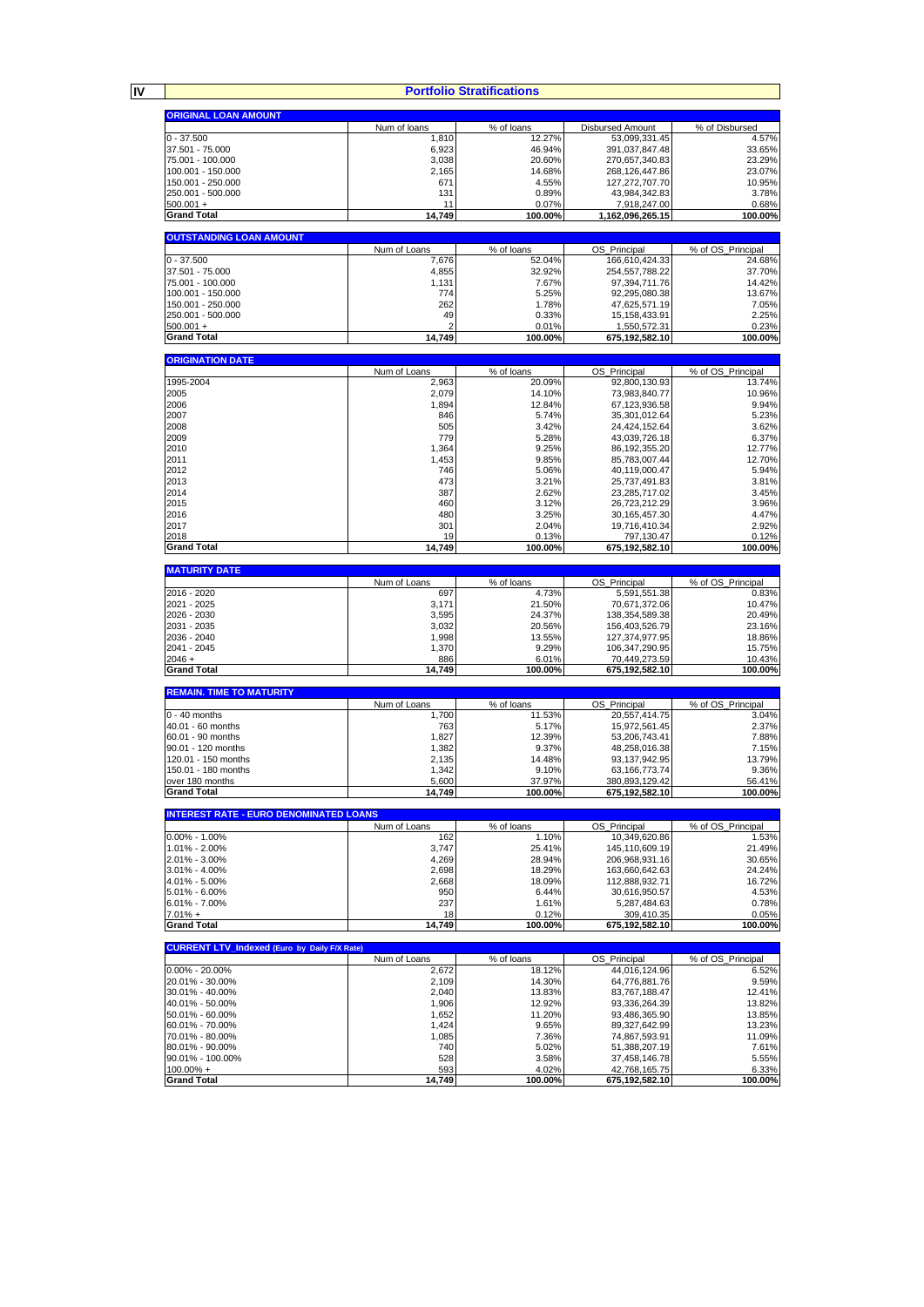**IV**

### **Portfolio Stratifications**

|                                                     |                | <b>Portfolio Stratifications</b> |                                   |                   |
|-----------------------------------------------------|----------------|----------------------------------|-----------------------------------|-------------------|
|                                                     |                |                                  |                                   |                   |
| <b>ORIGINAL LOAN AMOUNT</b>                         |                |                                  |                                   |                   |
|                                                     | Num of loans   | % of loans                       | <b>Disbursed Amount</b>           | % of Disbursed    |
| $0 - 37.500$<br>37.501 - 75.000                     | 1,810<br>6,923 | 12.27%<br>46.94%                 | 53,099,331.45<br>391,037,847.48   | 4.57%<br>33.65%   |
| 75.001 - 100.000                                    | 3,038          | 20.60%                           | 270,657,340.83                    | 23.29%            |
| 100.001 - 150.000                                   | 2,165          | 14.68%                           | 268,126,447.86                    | 23.07%            |
| 150.001 - 250.000                                   | 671            | 4.55%                            | 127,272,707.70                    | 10.95%            |
| 250.001 - 500.000                                   | 131            | 0.89%                            | 43,984,342.83                     | 3.78%             |
| $500.001 +$                                         | 11             | 0.07%                            | 7,918,247.00                      | 0.68%             |
| <b>Grand Total</b>                                  | 14,749         | 100.00%                          | 1,162,096,265.15                  | 100.00%           |
| <b>OUTSTANDING LOAN AMOUNT</b>                      |                |                                  |                                   |                   |
|                                                     | Num of Loans   | % of loans                       | OS_Principal                      | % of OS_Principal |
| $0 - 37.500$                                        | 7,676          | 52.04%                           | 166,610,424.33                    | 24.68%            |
| 37.501 - 75.000                                     | 4,855          | 32.92%                           | 254,557,788.22                    | 37.70%            |
| 75.001 - 100.000                                    | 1,131          | 7.67%                            | 97,394,711.76                     | 14.42%            |
| 100.001 - 150.000                                   | 774            | 5.25%                            | 92,295,080.38                     | 13.67%            |
| 150.001 - 250.000                                   | 262            | 1.78%                            | 47,625,571.19                     | 7.05%             |
| 250.001 - 500.000<br>$500.001 +$                    | 49             | 0.33%<br>0.01%                   | 15, 158, 433. 91                  | 2.25%<br>0.23%    |
| <b>Grand Total</b>                                  | 14,749         | 100.00%                          | 1,550,572.31<br>675,192,582.10    | 100.00%           |
|                                                     |                |                                  |                                   |                   |
| <b>ORIGINATION DATE</b>                             |                |                                  |                                   |                   |
|                                                     | Num of Loans   | % of loans                       | OS_Principal                      | % of OS_Principal |
| 1995-2004                                           | 2,963          | 20.09%                           | 92,800,130.93                     | 13.74%            |
| 2005<br>2006                                        | 2,079<br>1,894 | 14.10%<br>12.84%                 | 73,983,840.77<br>67,123,936.58    | 10.96%<br>9.94%   |
| 2007                                                | 846            | 5.74%                            | 35,301,012.64                     | 5.23%             |
| 2008                                                | 505            | 3.42%                            | 24,424,152.64                     | 3.62%             |
| 2009                                                | 779            | 5.28%                            | 43,039,726.18                     | 6.37%             |
| 2010                                                | 1,364          | 9.25%                            | 86, 192, 355. 20                  | 12.77%            |
| 2011                                                | 1,453          | 9.85%                            | 85,783,007.44                     | 12.70%            |
| 2012                                                | 746            | 5.06%                            | 40,119,000.47                     | 5.94%             |
| 2013                                                | 473            | 3.21%                            | 25,737,491.83                     | 3.81%             |
| 2014                                                | 387            | 2.62%                            | 23,285,717.02                     | 3.45%             |
| 2015<br>2016                                        | 460<br>480     | 3.12%<br>3.25%                   | 26,723,212.29<br>30, 165, 457. 30 | 3.96%<br>4.47%    |
| 2017                                                | 301            | 2.04%                            | 19,716,410.34                     | 2.92%             |
| 2018                                                | 19             | 0.13%                            | 797,130.47                        | 0.12%             |
| <b>Grand Total</b>                                  | 14,749         | 100.00%                          | 675,192,582.10                    | 100.00%           |
|                                                     |                |                                  |                                   |                   |
| <b>MATURITY DATE</b>                                | Num of Loans   | % of loans                       | OS_Principal                      | % of OS_Principal |
| 2016 - 2020                                         | 697            | 4.73%                            | 5,591,551.38                      | 0.83%             |
| 2021 - 2025                                         | 3,171          | 21.50%                           | 70,671,372.06                     | 10.47%            |
| 2026 - 2030                                         | 3,595          | 24.37%                           | 138,354,589.38                    | 20.49%            |
| 2031 - 2035                                         | 3,032          | 20.56%                           | 156,403,526.79                    | 23.16%            |
| 2036 - 2040                                         | 1,998          | 13.55%                           | 127,374,977.95                    | 18.86%            |
| 2041 - 2045<br>$2046 +$                             | 1,370<br>886   | 9.29%<br>6.01%                   | 106,347,290.95<br>70,449,273.59   | 15.75%<br>10.43%  |
| <b>Grand Total</b>                                  | 14,749         | 100.00%                          | 675,192,582.10                    | 100.00%           |
|                                                     |                |                                  |                                   |                   |
| <b>REMAIN. TIME TO MATURITY</b>                     |                |                                  |                                   |                   |
|                                                     | Num of Loans   | % of loans                       | OS Principal                      | % of OS_Principal |
| $0 - 40$ months<br>40.01 - 60 months                | 1,700<br>763   | 11.53%<br>5.17%                  | 20,557,414.75<br>15,972,561.45    | 3.04%<br>2.37%    |
| 60.01 - 90 months                                   | 1,827          | 12.39%                           | 53.206.743.41                     | 7.88%             |
| 90.01 - 120 months                                  | 1,382          | 9.37%                            | 48.258.016.38                     | 7.15%             |
| 120.01 - 150 months                                 | 2,135          | 14.48%                           | 93, 137, 942. 95                  | 13.79%            |
| 150.01 - 180 months                                 | 1,342          | 9.10%                            | 63, 166, 773. 74                  | 9.36%             |
| over 180 months                                     | 5,600          | 37.97%                           | 380,893,129.42                    | 56.41%            |
| <b>Grand Total</b>                                  | 14,749         | 100.00%                          | 675,192,582.10                    | 100.00%           |
| <b>INTEREST RATE - EURO DENOMINATED LOANS</b>       |                |                                  |                                   |                   |
|                                                     | Num of Loans   | % of loans                       | OS_Principal                      | % of OS_Principal |
| $0.00\% - 1.00\%$                                   | 162            | 1.10%                            | 10,349,620.86                     | 1.53%             |
| 1.01% - 2.00%                                       | 3,747          | 25.41%                           | 145.110.609.19                    | 21.49%            |
| 2.01% - 3.00%                                       | 4,269          | 28.94%                           | 206,968,931.16                    | 30.65%            |
| $3.01\% - 4.00\%$                                   | 2,698          | 18.29%                           | 163,660,642.63                    | 24.24%            |
| 4.01% - 5.00%<br>5.01% - 6.00%                      | 2,668<br>950   | 18.09%<br>6.44%                  | 112,888,932.71<br>30,616,950.57   | 16.72%<br>4.53%   |
| $6.01\% - 7.00\%$                                   | 237            | 1.61%                            | 5,287,484.63                      | 0.78%             |
| $7.01% +$                                           | 18             | 0.12%                            | 309,410.35                        | 0.05%             |
| <b>Grand Total</b>                                  | 14,749         | 100.00%                          | 675,192,582.10                    | 100.00%           |
|                                                     |                |                                  |                                   |                   |
| <b>CURRENT LTV_Indexed (Euro by Daily F/X Rate)</b> | Num of Loans   | % of loans                       | OS_Principal                      | % of OS_Principal |
| $0.00\% - 20.00\%$                                  | 2,672          | 18.12%                           | 44,016,124.96                     | 6.52%             |
| 20.01% - 30.00%                                     | 2,109          | 14.30%                           | 64,776,881.76                     | 9.59%             |
| 30.01% - 40.00%                                     | 2,040          | 13.83%                           | 83,767,188.47                     | 12.41%            |
| 40.01% - 50.00%                                     | 1,906          | 12.92%                           | 93,336,264.39                     | 13.82%            |
| 50.01% - 60.00%<br>60.01% - 70.00%                  | 1,652<br>1,424 | 11.20%<br>9.65%                  | 93,486,365.90<br>89,327,642.99    | 13.85%<br>13.23%  |
| 70.01% - 80.00%                                     |                | 7.36%                            | 74,867,593.91                     | 11.09%            |
|                                                     |                |                                  |                                   |                   |
| 80.01% - 90.00%                                     | 1,085<br>740   | 5.02%                            | 51,388,207.19                     | 7.61%             |
| 90.01% - 100.00%                                    | 528            | 3.58%                            | 37,458,146.78                     | 5.55%             |
| $100.00\% +$<br><b>Grand Total</b>                  | 593<br>14,749  | 4.02%<br>100.00%                 | 42,768,165.75<br>675,192,582.10   | 6.33%<br>100.00%  |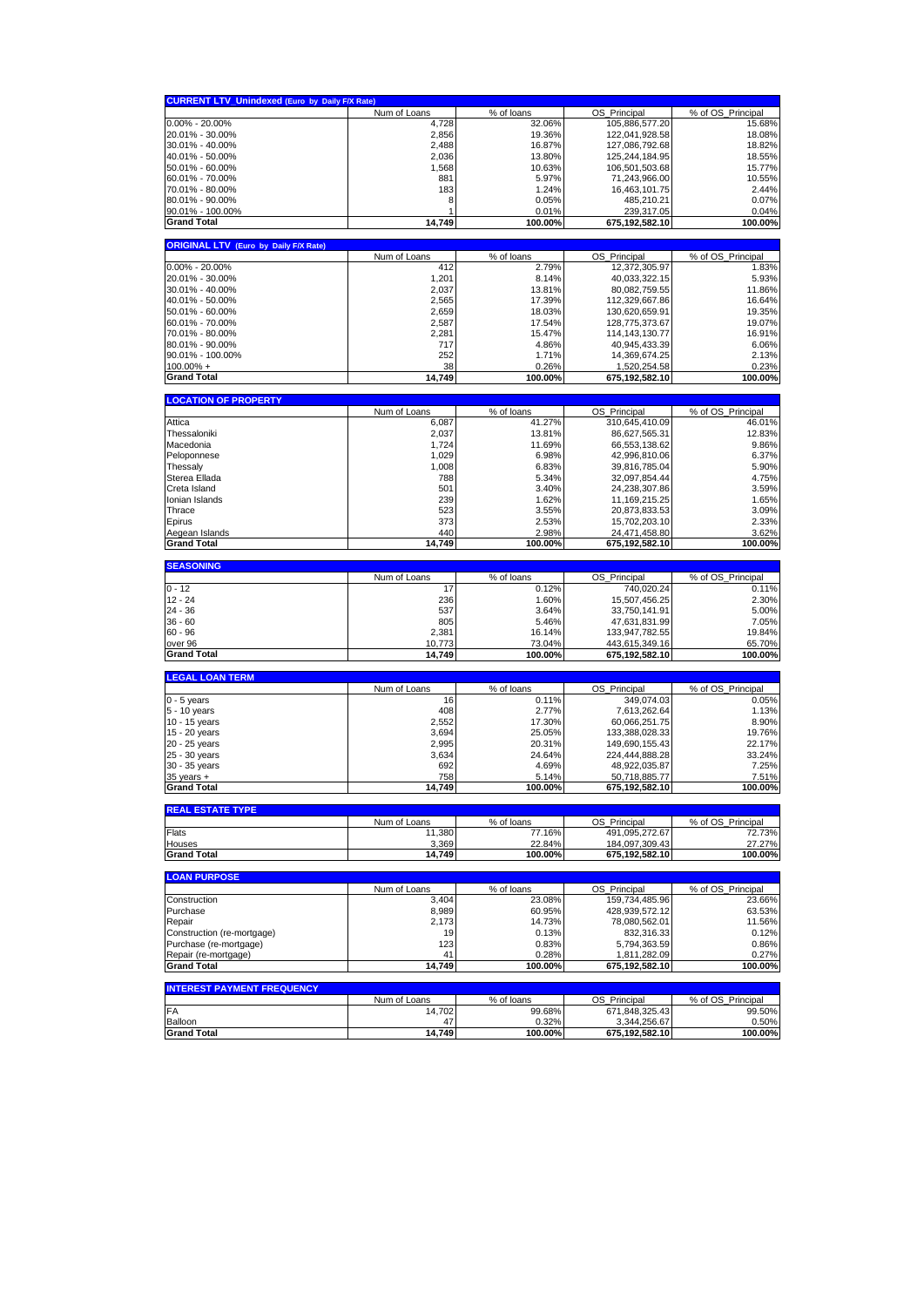| <b>CURRENT LTV_Unindexed (Euro by Daily F/X Rate)</b> |                        |                      |                                  |                             |
|-------------------------------------------------------|------------------------|----------------------|----------------------------------|-----------------------------|
|                                                       | Num of Loans           | % of loans           | OS_Principal                     | % of OS_Principal           |
| $0.00\% - 20.00\%$                                    | 4,728                  | 32.06%               | 105.886.577.20                   | 15.68%                      |
| 20.01% - 30.00%                                       | 2,856                  | 19.36%               | 122,041,928.58                   | 18.08%                      |
| 30.01% - 40.00%                                       | 2,488                  | 16.87%               | 127,086,792.68                   | 18.82%                      |
| 40.01% - 50.00%                                       | 2,036                  | 13.80%               | 125,244,184.95                   | 18.55%                      |
| 50.01% - 60.00%<br>60.01% - 70.00%                    | 1,568<br>881           | 10.63%<br>5.97%      | 106,501,503.68<br>71,243,966.00  | 15.77%<br>10.55%            |
| 70.01% - 80.00%                                       | 183                    | 1.24%                | 16,463,101.75                    | 2.44%                       |
| 80.01% - 90.00%                                       | 8                      | 0.05%                | 485,210.21                       | 0.07%                       |
| 90.01% - 100.00%                                      |                        | 0.01%                | 239,317.05                       | 0.04%                       |
| <b>Grand Total</b>                                    | 14,749                 | 100.00%              | 675,192,582.10                   | 100.00%                     |
|                                                       |                        |                      |                                  |                             |
| <b>ORIGINAL LTV (Euro by Daily F/X Rate)</b>          |                        |                      |                                  |                             |
| $0.00\% - 20.00\%$                                    | Num of Loans<br>412    | % of loans<br>2.79%  | OS_Principal<br>12,372,305.97    | % of OS_Principal<br>1.83%  |
| 20.01% - 30.00%                                       | 1,201                  | 8.14%                | 40,033,322.15                    | 5.93%                       |
| 30.01% - 40.00%                                       | 2,037                  | 13.81%               | 80,082,759.55                    | 11.86%                      |
| 40.01% - 50.00%                                       | 2,565                  | 17.39%               | 112,329,667.86                   | 16.64%                      |
| 50.01% - 60.00%                                       | 2,659                  | 18.03%               | 130,620,659.91                   | 19.35%                      |
| 60.01% - 70.00%                                       | 2,587                  | 17.54%               | 128,775,373.67                   | 19.07%                      |
| 70.01% - 80.00%                                       | 2,281                  | 15.47%               | 114, 143, 130. 77                | 16.91%                      |
| 80.01% - 90.00%                                       | 717                    | 4.86%                | 40,945,433.39                    | 6.06%                       |
| 90.01% - 100.00%                                      | 252                    | 1.71%                | 14,369,674.25                    | 2.13%                       |
| $100.00\% +$                                          | 38                     | 0.26%                | 1,520,254.58                     | 0.23%                       |
| <b>Grand Total</b>                                    | 14,749                 | 100.00%              | 675,192,582.10                   | 100.00%                     |
| <b>LOCATION OF PROPERTY</b>                           |                        |                      |                                  |                             |
|                                                       | Num of Loans           | % of loans           | OS_Principal                     | % of OS_Principal           |
| Attica                                                | 6,087                  | 41.27%               | 310,645,410.09                   | 46.01%                      |
| Thessaloniki                                          | 2,037                  | 13.81%               | 86,627,565.31                    | 12.83%                      |
| Macedonia                                             | 1,724                  | 11.69%               | 66.553.138.62                    | 9.86%                       |
| Peloponnese                                           | 1,029                  | 6.98%                | 42,996,810.06                    | 6.37%                       |
| Thessaly                                              | 1,008                  | 6.83%                | 39,816,785.04                    | 5.90%                       |
| Sterea Ellada                                         | 788                    | 5.34%                | 32,097,854.44                    | 4.75%                       |
| Creta Island                                          | 501                    | 3.40%                | 24,238,307.86                    | 3.59%                       |
| Ionian Islands                                        | 239                    | 1.62%                | 11, 169, 215. 25                 | 1.65%                       |
| Thrace                                                | 523                    | 3.55%                | 20,873,833.53                    | 3.09%                       |
| Epirus                                                | 373                    | 2.53%                | 15,702,203.10                    | 2.33%                       |
| Aegean Islands                                        | 440                    | 2.98%                | 24,471,458.80                    | 3.62%                       |
| <b>Grand Total</b>                                    | 14,749                 | 100.00%              | 675,192,582.10                   | 100.00%                     |
| <b>SEASONING</b>                                      |                        |                      |                                  |                             |
|                                                       |                        |                      |                                  |                             |
|                                                       | Num of Loans           | % of loans           | OS_Principal                     | % of OS Principal           |
| $0 - 12$                                              | 17                     | 0.12%                | 740,020.24                       | 0.11%                       |
| $12 - 24$                                             | 236                    | 1.60%                | 15,507,456.25                    | 2.30%                       |
| $24 - 36$                                             | 537                    | 3.64%                | 33,750,141.91                    | 5.00%                       |
| $36 - 60$                                             | 805                    | 5.46%                | 47,631,831.99                    | 7.05%                       |
| $60 - 96$                                             | 2,381                  | 16.14%               | 133,947,782.55                   | 19.84%                      |
| over 96<br><b>Grand Total</b>                         | 10,773<br>14,749       | 73.04%<br>100.00%    | 443,615,349.16<br>675,192,582.10 | 65.70%<br>100.00%           |
|                                                       |                        |                      |                                  |                             |
| <b>LEGAL LOAN TERM</b>                                |                        |                      |                                  |                             |
|                                                       | Num of Loans           | % of loans           | OS_Principal                     | % of OS_Principal           |
| $0 - 5$ years                                         | 16                     | 0.11%                | 349,074.03                       | 0.05%                       |
| 5 - 10 years                                          | 408                    | 2.77%                | 7,613,262.64                     | 1.13%                       |
| 10 - 15 years                                         | 2,552                  | 17.30%               | 60,066,251.75                    | 8.90%                       |
| 15 - 20 years                                         | 3,694<br>2,995         | 25.05%<br>20.31%     | 133,388,028.33<br>149,690,155.43 | 19.76%<br>22.17%            |
| 20 - 25 years<br>25 - 30 years                        | 3,634                  | 24.64%               | 224,444,888.28                   | 33.24%                      |
| 30 - 35 years                                         | 692                    | 4.69%                | 48,922,035.87                    | 7.25%                       |
| 35 years +                                            | 758                    | 5.14%                | 50,718,885.77                    | 7.51%                       |
| <b>Grand Total</b>                                    | 14.749                 | 100.00%              | 675,192,582.10                   | 100.00%                     |
| <b>REAL ESTATE TYPE</b>                               |                        |                      |                                  |                             |
|                                                       | Num of Loans           | % of loans           | OS Principal                     | % of OS_Principal           |
| Flats                                                 | 11,380                 | 77.16%               | 491,095,272.67                   | 72.73%                      |
| Houses                                                | 3,369                  | 22.84%               | 184,097,309.43                   | 27.27%                      |
| <b>Grand Total</b>                                    | 14,749                 | 100.00%              | 675.192.582.10                   | 100.00%                     |
| <b>LOAN PURPOSE</b>                                   |                        |                      |                                  |                             |
|                                                       | Num of Loans           | % of loans           | OS_Principal                     | % of OS_Principal           |
| Construction                                          | 3,404                  | 23.08%               | 159,734,485.96                   | 23.66%                      |
| Purchase                                              | 8,989                  | 60.95%               | 428.939.572.12                   | 63.53%                      |
| Repair                                                | 2,173                  | 14.73%               | 78,080,562.01                    | 11.56%                      |
| Construction (re-mortgage)                            | 19                     | 0.13%                | 832,316.33                       | 0.12%                       |
| Purchase (re-mortgage)<br>Repair (re-mortgage)        | 123                    | 0.83%                | 5,794,363.59                     | 0.86%                       |
| <b>Grand Total</b>                                    | 41<br>14,749           | 0.28%<br>100.00%     | 1,811,282.09<br>675,192,582.10   | 0.27%<br>100.00%            |
|                                                       |                        |                      |                                  |                             |
| <b>INTEREST PAYMENT FREQUENCY</b>                     |                        |                      |                                  |                             |
| FA                                                    | Num of Loans<br>14,702 | % of loans<br>99.68% | OS_Principal<br>671,848,325.43   | % of OS Principal<br>99.50% |
| Balloon                                               | 47                     | 0.32%                | 3,344,256.67                     | 0.50%                       |